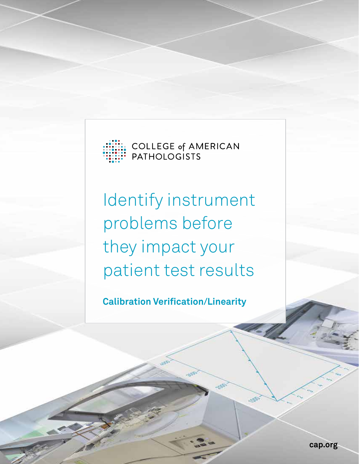

**COLLEGE of AMERICAN PATHOLOGISTS** 

Identify instrument problems before they impact your patient test results

**Calibration Verification/Linearity**

**cap.org**

L.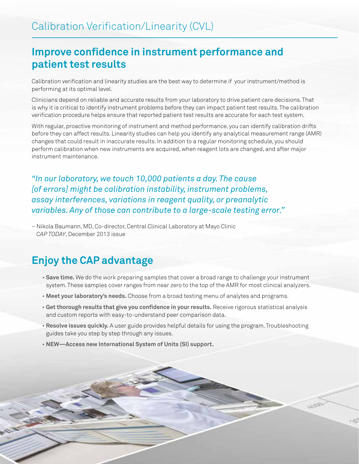## **Improve confidence in instrument performance and patient test results**

Calibration verification and linearity studies are the best way to determine if your instrument/method is performing at its optimal level.

Clinicians depend on reliable and accurate results from your laboratory to drive patient care decisions. That is why it is critical to identify instrument problems before they can impact patient test results. The calibration verification procedure helps ensure that reported patient test results are accurate for each test system.

With regular, proactive monitoring of instrument and method performance, you can identify calibration drifts before they can affect results. Linearity studies can help you identify any analytical measurement range (AMR) changes that could result in inaccurate results. In addition to a regular monitoring schedule, you should perform calibration when new instruments are acquired, when reagent lots are changed, and after major instrument maintenance.

*"In our laboratory, we touch 10,000 patients a day. The cause [of errors] might be calibration instability, instrument problems, assay interferences, variations in reagent quality, or preanalytic variables. Any of those can contribute to a large-scale testing error."*

– Nikola Baumann, MD, Co-director, Central Clinical Laboratory at Mayo Clinic *CAP TODAY*, December 2013 issue

### **Enjoy the CAP advantage**

- **Save time.** We do the work preparing samples that cover a broad range to challenge your instrument system. These samples cover ranges from near zero to the top of the AMR for most clinical analyzers.
- **Meet your laboratory's needs.** Choose from a broad testing menu of analytes and programs.
- **Get thorough results that give you confidence in your results.** Receive rigorous statistical analysis and custom reports with easy-to-understand peer comparison data.
- **Resolve issues quickly.** A user guide provides helpful details for using the program. Troubleshooting guides take you step by step through any issues.
- **NEW—Access new International System of Units (SI) support.**

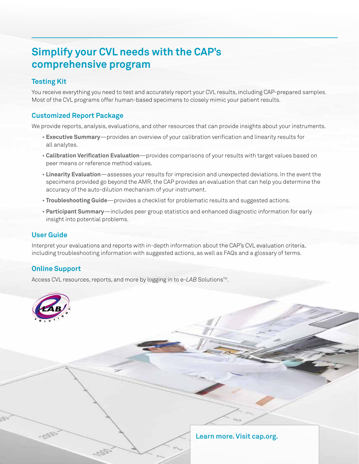# **Simplify your CVL needs with the CAP's comprehensive program**

#### **Testing Kit**

You receive everything you need to test and accurately report your CVL results, including CAP-prepared samples. Most of the CVL programs offer human-based specimens to closely mimic your patient results.

#### **Customized Report Package**

We provide reports, analysis, evaluations, and other resources that can provide insights about your instruments.

- **Executive Summary**—provides an overview of your calibration verification and linearity results for all analytes.
- **Calibration Verification Evaluation**—provides comparisons of your results with target values based on peer means or reference method values.
- **Linearity Evaluation**—assesses your results for imprecision and unexpected deviations. In the event the specimens provided go beyond the AMR, the CAP provides an evaluation that can help you determine the accuracy of the auto-dilution mechanism of your instrument.
- **Troubleshooting Guide**—provides a checklist for problematic results and suggested actions.
- **Participant Summary**—includes peer group statistics and enhanced diagnostic information for early insight into potential problems.

#### **User Guide**

Interpret your evaluations and reports with in-depth information about the CAP's CVL evaluation criteria, including troubleshooting information with suggested actions, as well as FAQs and a glossary of terms.

### **Online Support**

Access CVL resources, reports, and more by logging in to e-LAB Solutions<sup>™</sup>.